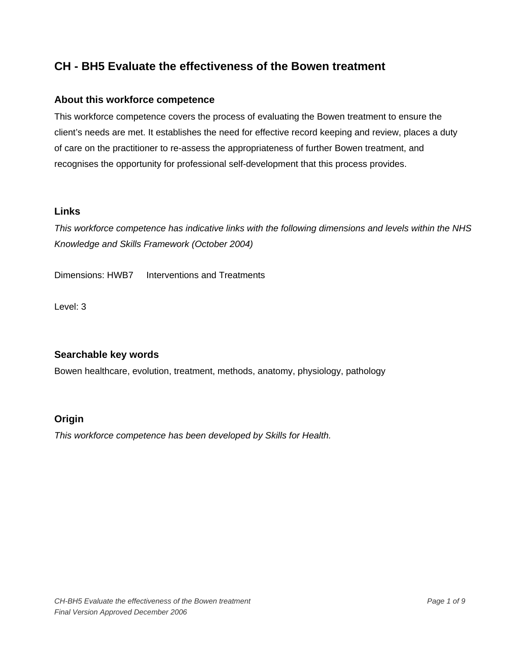### **About this workforce competence**

This workforce competence covers the process of evaluating the Bowen treatment to ensure the client's needs are met. It establishes the need for effective record keeping and review, places a duty of care on the practitioner to re-assess the appropriateness of further Bowen treatment, and recognises the opportunity for professional self-development that this process provides.

### **Links**

*This workforce competence has indicative links with the following dimensions and levels within the NHS Knowledge and Skills Framework (October 2004)* 

Dimensions: HWB7 Interventions and Treatments

Level: 3

## **Searchable key words**

Bowen healthcare, evolution, treatment, methods, anatomy, physiology, pathology

## **Origin**

*This workforce competence has been developed by Skills for Health.*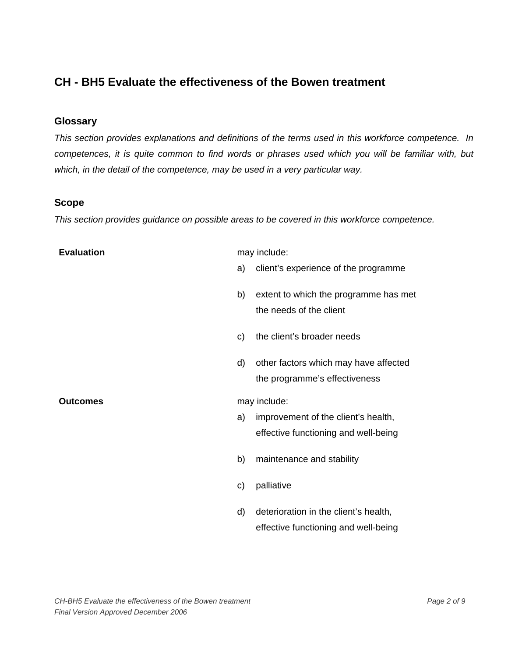### **Glossary**

*This section provides explanations and definitions of the terms used in this workforce competence. In competences, it is quite common to find words or phrases used which you will be familiar with, but which, in the detail of the competence, may be used in a very particular way.* 

#### **Scope**

*This section provides guidance on possible areas to be covered in this workforce competence.* 

| <b>Evaluation</b> |    | may include:                                                                |
|-------------------|----|-----------------------------------------------------------------------------|
|                   | a) | client's experience of the programme                                        |
|                   | b) | extent to which the programme has met<br>the needs of the client            |
|                   | C) | the client's broader needs                                                  |
|                   | d) | other factors which may have affected<br>the programme's effectiveness      |
|                   |    |                                                                             |
| <b>Outcomes</b>   |    | may include:                                                                |
|                   | a) | improvement of the client's health,<br>effective functioning and well-being |
|                   | b) | maintenance and stability                                                   |
|                   | C) | palliative                                                                  |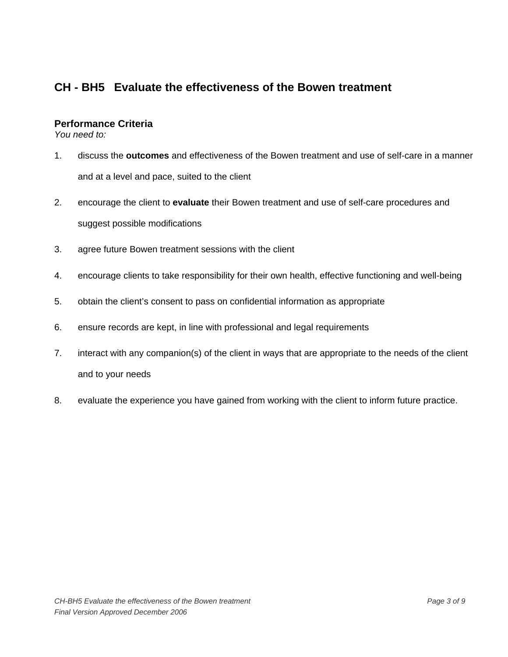### **Performance Criteria**

*You need to:* 

- 1. discuss the **outcomes** and effectiveness of the Bowen treatment and use of self-care in a manner and at a level and pace, suited to the client
- 2. encourage the client to **evaluate** their Bowen treatment and use of self-care procedures and suggest possible modifications
- 3. agree future Bowen treatment sessions with the client
- 4. encourage clients to take responsibility for their own health, effective functioning and well-being
- 5. obtain the client's consent to pass on confidential information as appropriate
- 6. ensure records are kept, in line with professional and legal requirements
- 7. interact with any companion(s) of the client in ways that are appropriate to the needs of the client and to your needs
- 8. evaluate the experience you have gained from working with the client to inform future practice.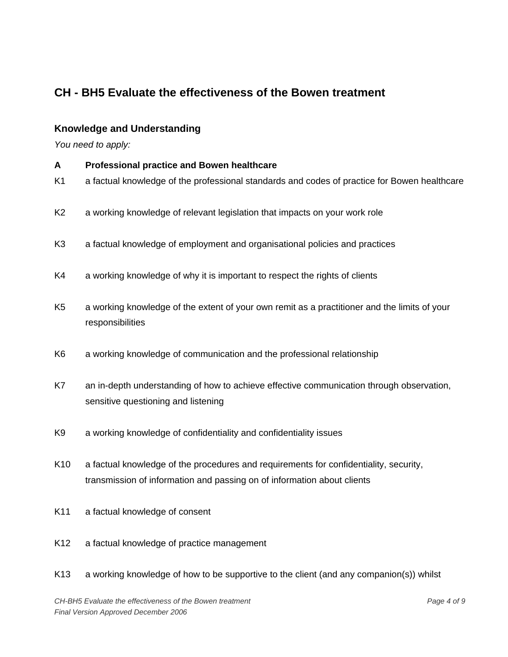### **Knowledge and Understanding**

*You need to apply:* 

- **A Professional practice and Bowen healthcare**  K1 a factual knowledge of the professional standards and codes of practice for Bowen healthcare K2 a working knowledge of relevant legislation that impacts on your work role K3 a factual knowledge of employment and organisational policies and practices K4 a working knowledge of why it is important to respect the rights of clients K5 a working knowledge of the extent of your own remit as a practitioner and the limits of your responsibilities K6 a working knowledge of communication and the professional relationship K7 an in-depth understanding of how to achieve effective communication through observation, sensitive questioning and listening
- K9 a working knowledge of confidentiality and confidentiality issues
- K10 a factual knowledge of the procedures and requirements for confidentiality, security, transmission of information and passing on of information about clients
- K11 a factual knowledge of consent
- K12 a factual knowledge of practice management
- K13 a working knowledge of how to be supportive to the client (and any companion(s)) whilst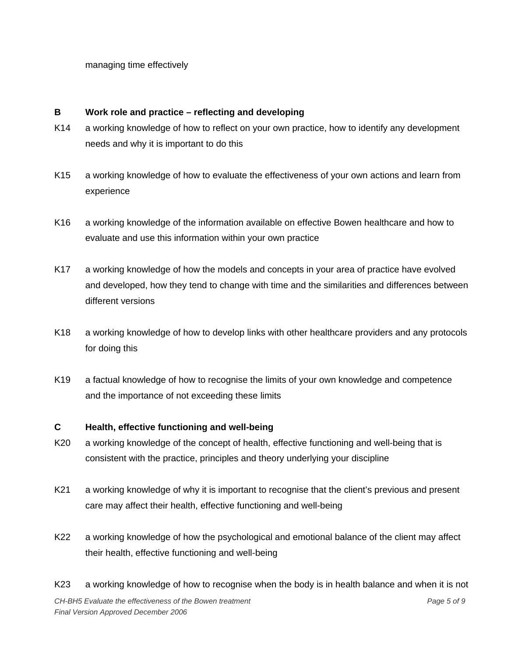managing time effectively

#### **B Work role and practice – reflecting and developing**

- K14 a working knowledge of how to reflect on your own practice, how to identify any development needs and why it is important to do this
- K15 a working knowledge of how to evaluate the effectiveness of your own actions and learn from experience
- K16 a working knowledge of the information available on effective Bowen healthcare and how to evaluate and use this information within your own practice
- K17 a working knowledge of how the models and concepts in your area of practice have evolved and developed, how they tend to change with time and the similarities and differences between different versions
- K18 a working knowledge of how to develop links with other healthcare providers and any protocols for doing this
- K19 a factual knowledge of how to recognise the limits of your own knowledge and competence and the importance of not exceeding these limits

#### **C Health, effective functioning and well-being**

- K20 a working knowledge of the concept of health, effective functioning and well-being that is consistent with the practice, principles and theory underlying your discipline
- K21 a working knowledge of why it is important to recognise that the client's previous and present care may affect their health, effective functioning and well-being
- K22 a working knowledge of how the psychological and emotional balance of the client may affect their health, effective functioning and well-being
- K23 a working knowledge of how to recognise when the body is in health balance and when it is not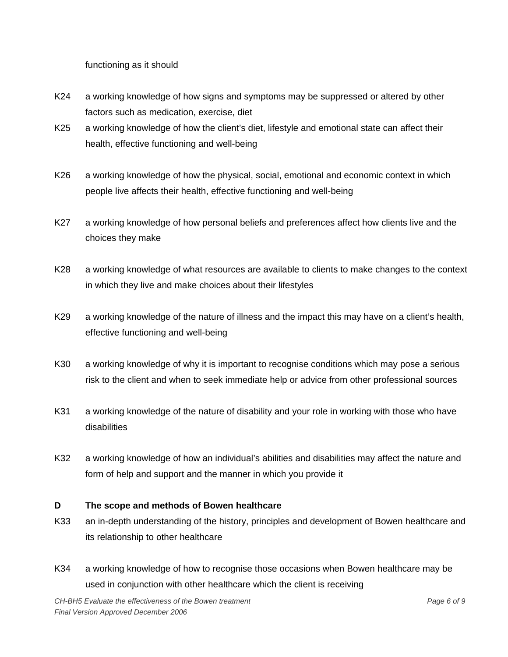functioning as it should

- K24 a working knowledge of how signs and symptoms may be suppressed or altered by other factors such as medication, exercise, diet
- K25 a working knowledge of how the client's diet, lifestyle and emotional state can affect their health, effective functioning and well-being
- K26 a working knowledge of how the physical, social, emotional and economic context in which people live affects their health, effective functioning and well-being
- K27 a working knowledge of how personal beliefs and preferences affect how clients live and the choices they make
- K28 a working knowledge of what resources are available to clients to make changes to the context in which they live and make choices about their lifestyles
- K29 a working knowledge of the nature of illness and the impact this may have on a client's health, effective functioning and well-being
- K30 a working knowledge of why it is important to recognise conditions which may pose a serious risk to the client and when to seek immediate help or advice from other professional sources
- K31 a working knowledge of the nature of disability and your role in working with those who have disabilities
- K32 a working knowledge of how an individual's abilities and disabilities may affect the nature and form of help and support and the manner in which you provide it

#### **D The scope and methods of Bowen healthcare**

- K33 an in-depth understanding of the history, principles and development of Bowen healthcare and its relationship to other healthcare
- K34 a working knowledge of how to recognise those occasions when Bowen healthcare may be used in conjunction with other healthcare which the client is receiving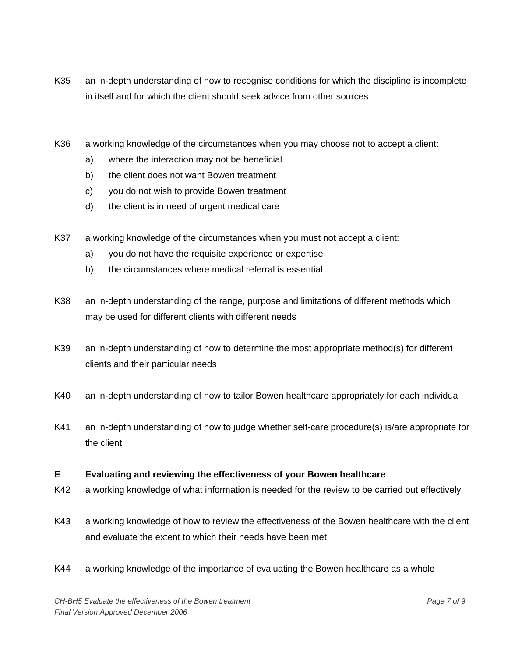- K35 an in-depth understanding of how to recognise conditions for which the discipline is incomplete in itself and for which the client should seek advice from other sources
- K36 a working knowledge of the circumstances when you may choose not to accept a client:
	- a) where the interaction may not be beneficial
	- b) the client does not want Bowen treatment
	- c) you do not wish to provide Bowen treatment
	- d) the client is in need of urgent medical care
- K37 a working knowledge of the circumstances when you must not accept a client:
	- a) you do not have the requisite experience or expertise
	- b) the circumstances where medical referral is essential
- K38 an in-depth understanding of the range, purpose and limitations of different methods which may be used for different clients with different needs
- K39 an in-depth understanding of how to determine the most appropriate method(s) for different clients and their particular needs
- K40 an in-depth understanding of how to tailor Bowen healthcare appropriately for each individual
- K41 an in-depth understanding of how to judge whether self-care procedure(s) is/are appropriate for the client

#### **E Evaluating and reviewing the effectiveness of your Bowen healthcare**

- K42 a working knowledge of what information is needed for the review to be carried out effectively
- K43 a working knowledge of how to review the effectiveness of the Bowen healthcare with the client and evaluate the extent to which their needs have been met
- K44 a working knowledge of the importance of evaluating the Bowen healthcare as a whole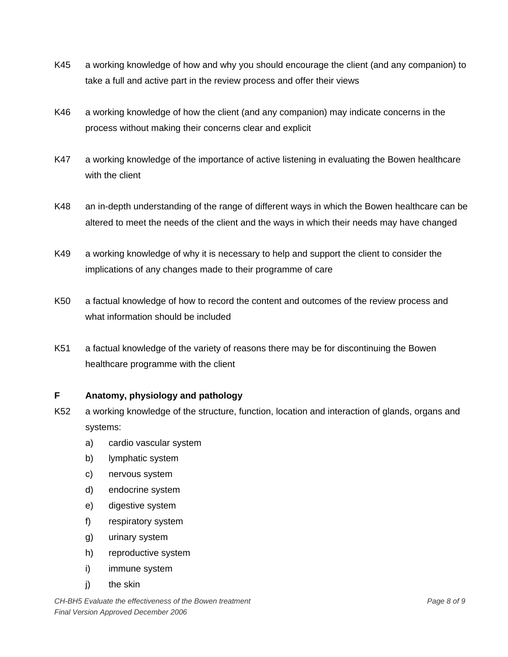- K45 a working knowledge of how and why you should encourage the client (and any companion) to take a full and active part in the review process and offer their views
- K46 a working knowledge of how the client (and any companion) may indicate concerns in the process without making their concerns clear and explicit
- K47 a working knowledge of the importance of active listening in evaluating the Bowen healthcare with the client
- K48 an in-depth understanding of the range of different ways in which the Bowen healthcare can be altered to meet the needs of the client and the ways in which their needs may have changed
- K49 a working knowledge of why it is necessary to help and support the client to consider the implications of any changes made to their programme of care
- K50 a factual knowledge of how to record the content and outcomes of the review process and what information should be included
- K51 a factual knowledge of the variety of reasons there may be for discontinuing the Bowen healthcare programme with the client

#### **F Anatomy, physiology and pathology**

- K52 a working knowledge of the structure, function, location and interaction of glands, organs and systems:
	- a) cardio vascular system
	- b) lymphatic system
	- c) nervous system
	- d) endocrine system
	- e) digestive system
	- f) respiratory system
	- g) urinary system
	- h) reproductive system
	- i) immune system
	- i) the skin